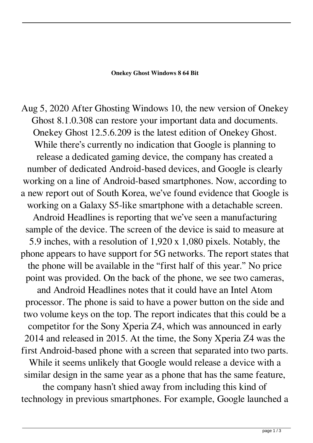## **Onekey Ghost Windows 8 64 Bit**

Aug 5, 2020 After Ghosting Windows 10, the new version of Onekey Ghost 8.1.0.308 can restore your important data and documents. Onekey Ghost 12.5.6.209 is the latest edition of Onekey Ghost. While there's currently no indication that Google is planning to release a dedicated gaming device, the company has created a number of dedicated Android-based devices, and Google is clearly working on a line of Android-based smartphones. Now, according to a new report out of South Korea, we've found evidence that Google is working on a Galaxy S5-like smartphone with a detachable screen. Android Headlines is reporting that we've seen a manufacturing sample of the device. The screen of the device is said to measure at 5.9 inches, with a resolution of 1,920 x 1,080 pixels. Notably, the phone appears to have support for 5G networks. The report states that the phone will be available in the "first half of this year." No price point was provided. On the back of the phone, we see two cameras, and Android Headlines notes that it could have an Intel Atom processor. The phone is said to have a power button on the side and two volume keys on the top. The report indicates that this could be a competitor for the Sony Xperia Z4, which was announced in early 2014 and released in 2015. At the time, the Sony Xperia Z4 was the first Android-based phone with a screen that separated into two parts. While it seems unlikely that Google would release a device with a similar design in the same year as a phone that has the same feature, the company hasn't shied away from including this kind of technology in previous smartphones. For example, Google launched a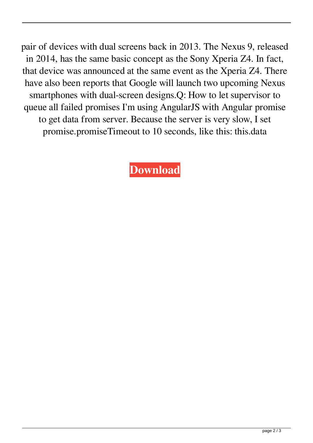pair of devices with dual screens back in 2013. The Nexus 9, released in 2014, has the same basic concept as the Sony Xperia Z4. In fact, that device was announced at the same event as the Xperia Z4. There have also been reports that Google will launch two upcoming Nexus smartphones with dual-screen designs.Q: How to let supervisor to queue all failed promises I'm using AngularJS with Angular promise to get data from server. Because the server is very slow, I set promise.promiseTimeout to 10 seconds, like this: this.data

**[Download](http://evacdir.com/insulations/maoi/palmistry/topsail/ZG93bmxvYWR8VUExTW0wNWVIeDhNVFkxTWpjME1EZzJObng4TWpVM05IeDhLRTBwSUhKbFlXUXRZbXh2WnlCYlJtRnpkQ0JIUlU1ZA/b25la2V5IGdob3N0IHdpbmRvd3MgOCA2NCBiaXQb25/?taecher=recollection)**